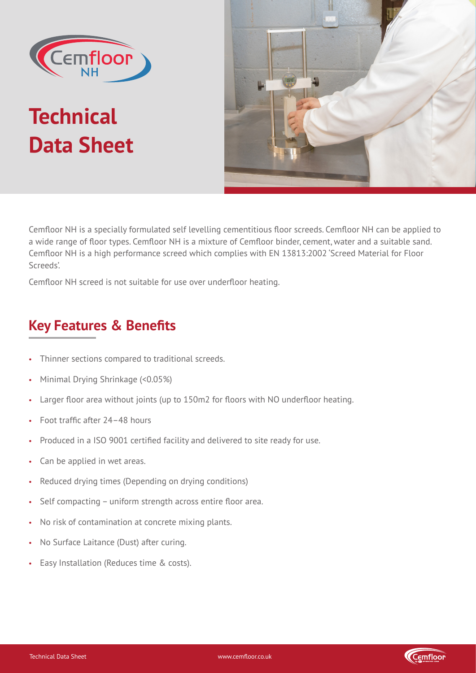

# **Technical Data Sheet**



Cemfloor NH is a specially formulated self levelling cementitious floor screeds. Cemfloor NH can be applied to a wide range of floor types. Cemfloor NH is a mixture of Cemfloor binder, cement, water and a suitable sand. Cemfloor NH is a high performance screed which complies with EN 13813:2002 'Screed Material for Floor Screeds'.

Cemfloor NH screed is not suitable for use over underfloor heating.

## **Key Features & Benefits**

- Thinner sections compared to traditional screeds.
- Minimal Drying Shrinkage (<0.05%)
- Larger floor area without joints (up to 150m2 for floors with NO underfloor heating.
- Foot traffic after 24–48 hours
- Produced in a ISO 9001 certified facility and delivered to site ready for use.
- Can be applied in wet areas.
- Reduced drying times (Depending on drying conditions)
- Self compacting uniform strength across entire floor area.
- No risk of contamination at concrete mixing plants.
- No Surface Laitance (Dust) after curing.
- Easy Installation (Reduces time & costs).

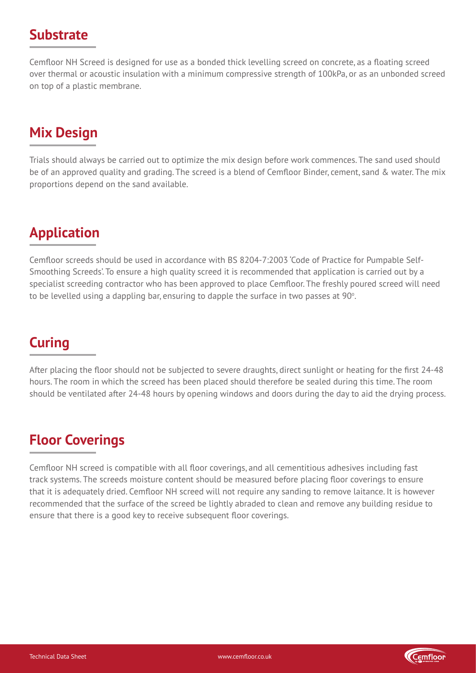#### **Substrate**

Cemfloor NH Screed is designed for use as a bonded thick levelling screed on concrete, as a floating screed over thermal or acoustic insulation with a minimum compressive strength of 100kPa, or as an unbonded screed on top of a plastic membrane.

## **Mix Design**

Trials should always be carried out to optimize the mix design before work commences. The sand used should be of an approved quality and grading. The screed is a blend of Cemfloor Binder, cement, sand & water. The mix proportions depend on the sand available.

## **Application**

Cemfloor screeds should be used in accordance with BS 8204-7:2003 'Code of Practice for Pumpable Self-Smoothing Screeds'. To ensure a high quality screed it is recommended that application is carried out by a specialist screeding contractor who has been approved to place Cemfloor. The freshly poured screed will need to be levelled using a dappling bar, ensuring to dapple the surface in two passes at 90 $^{\circ}$ .

## **Curing**

After placing the floor should not be subjected to severe draughts, direct sunlight or heating for the first 24-48 hours. The room in which the screed has been placed should therefore be sealed during this time. The room should be ventilated after 24-48 hours by opening windows and doors during the day to aid the drying process.

## **Floor Coverings**

Cemfloor NH screed is compatible with all floor coverings, and all cementitious adhesives including fast track systems. The screeds moisture content should be measured before placing floor coverings to ensure that it is adequately dried. Cemfloor NH screed will not require any sanding to remove laitance. It is however recommended that the surface of the screed be lightly abraded to clean and remove any building residue to ensure that there is a good key to receive subsequent floor coverings.